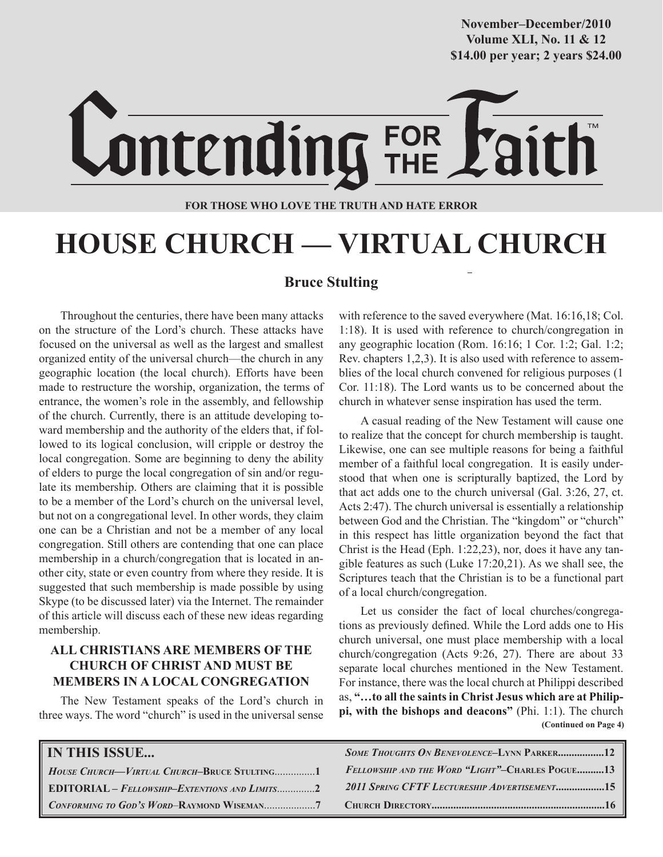**Volume XLI, No. 11 & 12 Volume XXXVIII, No. 10 \$14.00 per year; 2 years \$24.00 \$14.00 per year; 2 years \$24.00 November–December/2010**

# Lontending FOR

#### **FOR THOSE WHO LOVE THE TRUTH AND HATE ERROR**

# **HOUSE CHURCH — VIRTUAL CHURCH**

### **Bruce Stulting**

Throughout the centuries, there have been many attacks on the structure of the Lord's church. These attacks have focused on the universal as well as the largest and smallest organized entity of the universal church—the church in any geographic location (the local church). Efforts have been made to restructure the worship, organization, the terms of entrance, the women's role in the assembly, and fellowship of the church. Currently, there is an attitude developing toward membership and the authority of the elders that, if followed to its logical conclusion, will cripple or destroy the local congregation. Some are beginning to deny the ability of elders to purge the local congregation of sin and/or regulate its membership. Others are claiming that it is possible to be a member of the Lord's church on the universal level, but not on a congregational level. In other words, they claim one can be a Christian and not be a member of any local congregation. Still others are contending that one can place membership in a church/congregation that is located in another city, state or even country from where they reside. It is suggested that such membership is made possible by using Skype (to be discussed later) via the Internet. The remainder of this article will discuss each of these new ideas regarding membership.

#### **ALL CHRISTIANS ARE MEMBERS OF THE CHURCH OF CHRIST AND MUST BE MEMBERS IN A LOCAL CONGREGATION**

The New Testament speaks of the Lord's church in three ways. The word "church" is used in the universal sense with reference to the saved everywhere (Mat. 16:16,18; Col. 1:18). It is used with reference to church/congregation in any geographic location (Rom. 16:16; 1 Cor. 1:2; Gal. 1:2; Rev. chapters 1,2,3). It is also used with reference to assemblies of the local church convened for religious purposes (1 Cor. 11:18). The Lord wants us to be concerned about the church in whatever sense inspiration has used the term.

A casual reading of the New Testament will cause one to realize that the concept for church membership is taught. Likewise, one can see multiple reasons for being a faithful member of a faithful local congregation. It is easily understood that when one is scripturally baptized, the Lord by that act adds one to the church universal (Gal. 3:26, 27, ct. Acts 2:47). The church universal is essentially a relationship between God and the Christian. The "kingdom" or "church" in this respect has little organization beyond the fact that Christ is the Head (Eph. 1:22,23), nor, does it have any tangible features as such (Luke 17:20,21). As we shall see, the Scriptures teach that the Christian is to be a functional part of a local church/congregation.

 **(Continued on Page 4)** Let us consider the fact of local churches/congregations as previously defined. While the Lord adds one to His church universal, one must place membership with a local church/congregation (Acts 9:26, 27). There are about 33 separate local churches mentioned in the New Testament. For instance, there was the local church at Philippi described as, **"…to all the saints in Christ Jesus which are at Philippi, with the bishops and deacons"** (Phi. 1:1). The church

| <b>IN THIS ISSUE</b>                                 | <b>SOME THOUGHTS ON BENEVOLENCE-LYNN PARKER12</b>      |
|------------------------------------------------------|--------------------------------------------------------|
| HOUSE CHURCH—VIRTUAL CHURCH-BRUCE STULTING1          | <b>FELLOWSHIP AND THE WORD "LIGHT"-CHARLES POGUE13</b> |
| <b>EDITORIAL - FELLOWSHIP-EXTENTIONS AND LIMITS2</b> | 2011 SPRING CFTF LECTURESHIP ADVERTISEMENT15           |
|                                                      |                                                        |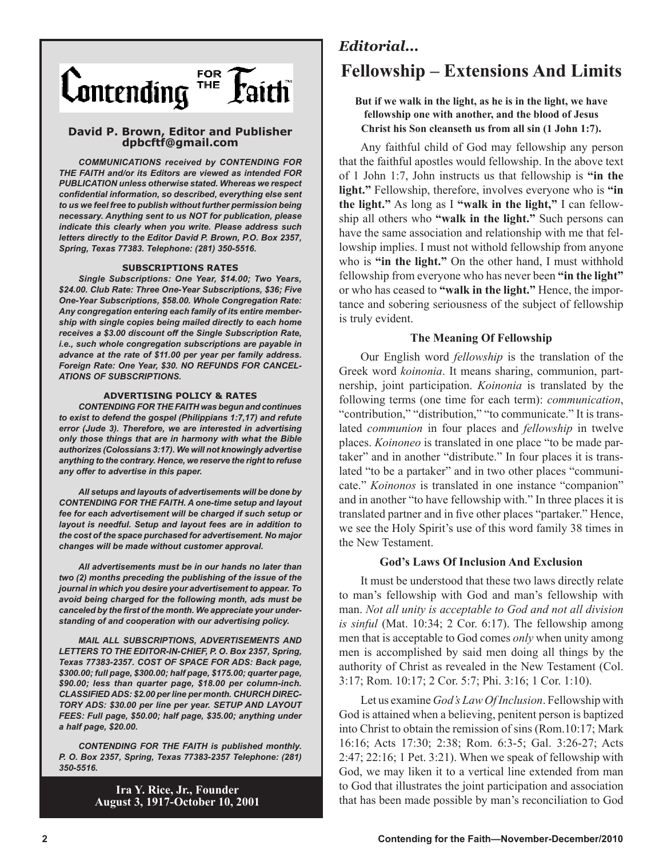

#### **David P. Brown, Editor and Publisher dpbcftf@gmail.com**

*COMMUNICATIONS received by CONTENDING FOR THE FAITH and/or its Editors are viewed as intended FOR PUBLICATION unless otherwise stated. Whereas we respect confidential information, so described, everything else sent to us we feel free to publish without further permission being necessary. Anything sent to us NOT for publication, please indicate this clearly when you write. Please address such letters directly to the Editor David P. Brown, P.O. Box 2357, Spring, Texas 77383. Telephone: (281) 350-5516.*

#### **SUBSCRIPTIONS RATES**

*Single Subscriptions: One Year, \$14.00; Two Years, \$24.00. Club Rate: Three One-Year Subscriptions, \$36; Five One-Year Subscriptions, \$58.00. Whole Congregation Rate: Any congregation entering each family of its entire membership with single copies being mailed directly to each home receives a \$3.00 discount off the Single Subscription Rate, i.e., such whole congregation subscriptions are payable in advance at the rate of \$11.00 per year per family address. Foreign Rate: One Year, \$30. NO REFUNDS FOR CANCEL-ATIONS OF SUBSCRIPTIONS.*

#### **ADVERTISING POLICY & RATES**

*CONTENDING FOR THE FAITH was begun and continues to exist to defend the gospel (Philippians 1:7,17) and refute error (Jude 3). Therefore, we are interested in advertising only those things that are in harmony with what the Bible authorizes (Colossians 3:17). We will not knowingly advertise anything to the contrary. Hence, we reserve the right to refuse any offer to advertise in this paper.*

*All setups and layouts of advertisements will be done by CONTENDING FOR THE FAITH. A one-time setup and layout fee for each advertisement will be charged if such setup or layout is needful. Setup and layout fees are in addition to the cost of the space purchased for advertisement. No major changes will be made without customer approval.*

*All advertisements must be in our hands no later than two (2) months preceding the publishing of the issue of the journal in which you desire your advertisement to appear. To avoid being charged for the following month, ads must be canceled by the first of the month. We appreciate your understanding of and cooperation with our advertising policy.*

*MAIL ALL SUBSCRIPTIONS, ADVERTISEMENTS AND LETTERS TO THE EDITOR-IN-CHIEF, P. O. Box 2357, Spring, Texas 77383-2357. COST OF SPACE FOR ADS: Back page, \$300.00; full page, \$300.00; half page, \$175.00; quarter page, \$90.00; less than quarter page, \$18.00 per column-inch. CLASSIFIED ADS: \$2.00 per line per month. CHURCH DIREC-TORY ADS: \$30.00 per line per year. SETUP AND LAYOUT FEES: Full page, \$50.00; half page, \$35.00; anything under a half page, \$20.00.*

*CONTENDING FOR THE FAITH is published monthly. P. O. Box 2357, Spring, Texas 77383-2357 Telephone: (281) 350-5516.*

> **Ira Y. Rice, Jr., Founder August 3, 1917-October 10, 2001**

## *Editorial...* **Fellowship – Extensions And Limits**

#### **But if we walk in the light, as he is in the light, we have fellowship one with another, and the blood of Jesus Christ his Son cleanseth us from all sin (1 John 1:7).**

Any faithful child of God may fellowship any person that the faithful apostles would fellowship. In the above text of 1 John 1:7, John instructs us that fellowship is **"in the light."** Fellowship, therefore, involves everyone who is **"in the light."** As long as I **"walk in the light,"** I can fellowship all others who **"walk in the light."** Such persons can have the same association and relationship with me that fellowship implies. I must not withold fellowship from anyone who is **"in the light."** On the other hand, I must withhold fellowship from everyone who has never been **"in the light"** or who has ceased to **"walk in the light."** Hence, the importance and sobering seriousness of the subject of fellowship is truly evident.

#### **The Meaning Of Fellowship**

Our English word *fellowship* is the translation of the Greek word *koinonia*. It means sharing, communion, partnership, joint participation. *Koinonia* is translated by the following terms (one time for each term): *communication*, "contribution," "distribution," "to communicate." It is translated *communion* in four places and *fellowship* in twelve places. *Koinoneo* is translated in one place "to be made partaker" and in another "distribute." In four places it is translated "to be a partaker" and in two other places "communicate." *Koinonos* is translated in one instance "companion" and in another "to have fellowship with." In three places it is translated partner and in five other places "partaker." Hence, we see the Holy Spirit's use of this word family 38 times in the New Testament.

#### **God's Laws Of Inclusion And Exclusion**

It must be understood that these two laws directly relate to man's fellowship with God and man's fellowship with man. *Not all unity is acceptable to God and not all division is sinful* (Mat. 10:34; 2 Cor. 6:17). The fellowship among men that is acceptable to God comes *only* when unity among men is accomplished by said men doing all things by the authority of Christ as revealed in the New Testament (Col. 3:17; Rom. 10:17; 2 Cor. 5:7; Phi. 3:16; 1 Cor. 1:10).

Let us examine *God's Law Of Inclusion*. Fellowship with God is attained when a believing, penitent person is baptized into Christ to obtain the remission of sins (Rom.10:17; Mark 16:16; Acts 17:30; 2:38; Rom. 6:3-5; Gal. 3:26-27; Acts 2:47; 22:16; 1 Pet. 3:21). When we speak of fellowship with God, we may liken it to a vertical line extended from man to God that illustrates the joint participation and association that has been made possible by man's reconciliation to God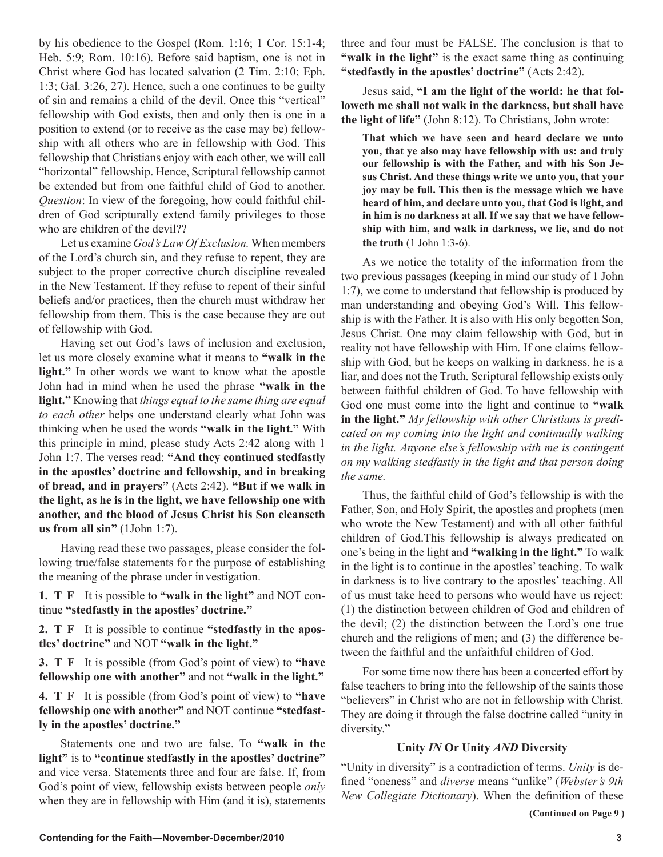by his obedience to the Gospel (Rom. 1:16; 1 Cor. 15:1-4; Heb. 5:9; Rom. 10:16). Before said baptism, one is not in Christ where God has located salvation (2 Tim. 2:10; Eph. 1:3; Gal. 3:26, 27). Hence, such a one continues to be guilty of sin and remains a child of the devil. Once this "vertical" fellowship with God exists, then and only then is one in a position to extend (or to receive as the case may be) fellowship with all others who are in fellowship with God. This fellowship that Christians enjoy with each other, we will call "horizontal" fellowship. Hence, Scriptural fellowship cannot be extended but from one faithful child of God to another. *Question*: In view of the foregoing, how could faithful children of God scripturally extend family privileges to those who are children of the devil??

Let us examine *God's Law Of Exclusion.* When members of the Lord's church sin, and they refuse to repent, they are subject to the proper corrective church discipline revealed in the New Testament. If they refuse to repent of their sinful beliefs and/or practices, then the church must withdraw her fellowship from them. This is the case because they are out of fellowship with God.

Having set out God's laws of inclusion and exclusion, let us more closely examine what it means to **"walk in the light."** In other words we want to know what the apostle John had in mind when he used the phrase **"walk in the light."** Knowing that *things equal to the same thing are equal to each other* helps one understand clearly what John was thinking when he used the words **"walk in the light."** With this principle in mind, please study Acts 2:42 along with 1 John 1:7. The verses read: **"And they continued stedfastly in the apostles' doctrine and fellowship, and in breaking of bread, and in prayers"** (Acts 2:42). **"But if we walk in the light, as he is in the light, we have fellowship one with another, and the blood of Jesus Christ his Son cleanseth us from all sin"** (1John 1:7).

Having read these two passages, please consider the following true/false statements for the purpose of establishing the meaning of the phrase under investigation.

**1. T F** It is possible to **"walk in the light"** and NOT continue **"stedfastly in the apostles' doctrine."**

**2. T F** It is possible to continue **"stedfastly in the apostles' doctrine"** and NOT **"walk in the light."**

**3. T F** It is possible (from God's point of view) to "have **fellowship one with another"** and not **"walk in the light."**

**4. T F** It is possible (from God's point of view) to **"have fellowship one with another"** and NOT continue **"stedfastly in the apostles' doctrine."**

Statements one and two are false. To **"walk in the light"** is to **"continue stedfastly in the apostles' doctrine"**  and vice versa. Statements three and four are false. If, from God's point of view, fellowship exists between people *only* when they are in fellowship with Him (and it is), statements three and four must be FALSE. The conclusion is that to **"walk in the light"** is the exact same thing as continuing **"stedfastly in the apostles' doctrine"** (Acts 2:42).

Jesus said, **"I am the light of the world: he that followeth me shall not walk in the darkness, but shall have the light of life"** (John 8:12). To Christians, John wrote:

**That which we have seen and heard declare we unto you, that ye also may have fellowship with us: and truly our fellowship is with the Father, and with his Son Jesus Christ. And these things write we unto you, that your joy may be full. This then is the message which we have heard of him, and declare unto you, that God is light, and in him is no darkness at all. If we say that we have fellowship with him, and walk in darkness, we lie, and do not the truth** (1 John 1:3-6).

As we notice the totality of the information from the two previous passages (keeping in mind our study of 1 John 1:7), we come to understand that fellowship is produced by man understanding and obeying God's Will. This fellowship is with the Father. It is also with His only begotten Son, Jesus Christ. One may claim fellowship with God, but in reality not have fellowship with Him. If one claims fellowship with God, but he keeps on walking in darkness, he is a liar, and does not the Truth. Scriptural fellowship exists only between faithful children of God. To have fellowship with God one must come into the light and continue to **"walk in the light."** *My fellowship with other Christians is predicated on my coming into the light and continually walking in the light. Anyone else's fellowship with me is contingent on my walking stedfastly in the light and that person doing the same.*

Thus, the faithful child of God's fellowship is with the Father, Son, and Holy Spirit, the apostles and prophets (men who wrote the New Testament) and with all other faithful children of God.This fellowship is always predicated on one's being in the light and **"walking in the light."** To walk in the light is to continue in the apostles' teaching. To walk in darkness is to live contrary to the apostles' teaching. All of us must take heed to persons who would have us reject: (1) the distinction between children of God and children of the devil; (2) the distinction between the Lord's one true church and the religions of men; and (3) the difference between the faithful and the unfaithful children of God.

For some time now there has been a concerted effort by false teachers to bring into the fellowship of the saints those "believers" in Christ who are not in fellowship with Christ. They are doing it through the false doctrine called "unity in diversity."

#### **Unity** *IN* **Or Unity** *AND* **Diversity**

"Unity in diversity" is a contradiction of terms. *Unity* is defined "oneness" and *diverse* means "unlike" (*Webster's 9th New Collegiate Dictionary*). When the definition of these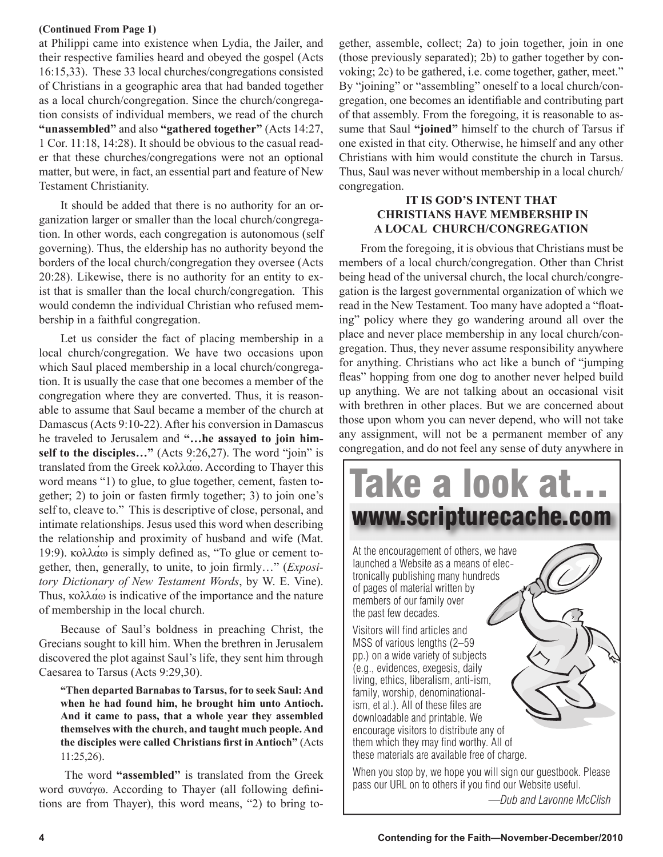#### **(Continued From Page 1)**

at Philippi came into existence when Lydia, the Jailer, and their respective families heard and obeyed the gospel (Acts 16:15,33). These 33 local churches/congregations consisted of Christians in a geographic area that had banded together as a local church/congregation. Since the church/congregation consists of individual members, we read of the church **"unassembled"** and also **"gathered together"** (Acts 14:27, 1 Cor. 11:18, 14:28). It should be obvious to the casual reader that these churches/congregations were not an optional matter, but were, in fact, an essential part and feature of New Testament Christianity.

It should be added that there is no authority for an organization larger or smaller than the local church/congregation. In other words, each congregation is autonomous (self governing). Thus, the eldership has no authority beyond the borders of the local church/congregation they oversee (Acts 20:28). Likewise, there is no authority for an entity to exist that is smaller than the local church/congregation. This would condemn the individual Christian who refused membership in a faithful congregation.

Let us consider the fact of placing membership in a local church/congregation. We have two occasions upon which Saul placed membership in a local church/congregation. It is usually the case that one becomes a member of the congregation where they are converted. Thus, it is reasonable to assume that Saul became a member of the church at Damascus (Acts 9:10-22). After his conversion in Damascus he traveled to Jerusalem and **"…he assayed to join himself to the disciples…"** (Acts 9:26,27). The word "join" is translated from the Greek κολλάω. According to Thayer this word means "1) to glue, to glue together, cement, fasten together; 2) to join or fasten firmly together; 3) to join one's self to, cleave to." This is descriptive of close, personal, and intimate relationships. Jesus used this word when describing the relationship and proximity of husband and wife (Mat. 19:9). κολλάω is simply defined as, "To glue or cement together, then, generally, to unite, to join firmly…" (*Expository Dictionary of New Testament Words*, by W. E. Vine). Thus, κολλάω is indicative of the importance and the nature of membership in the local church.

Because of Saul's boldness in preaching Christ, the Grecians sought to kill him. When the brethren in Jerusalem discovered the plot against Saul's life, they sent him through Caesarea to Tarsus (Acts 9:29,30).

**"Then departed Barnabas to Tarsus, for to seek Saul: And when he had found him, he brought him unto Antioch. And it came to pass, that a whole year they assembled themselves with the church, and taught much people. And the disciples were called Christians first in Antioch"** (Acts 11:25,26).

 The word **"assembled"** is translated from the Greek word συνάγω. According to Thayer (all following definitions are from Thayer), this word means, "2) to bring together, assemble, collect; 2a) to join together, join in one (those previously separated); 2b) to gather together by convoking; 2c) to be gathered, i.e. come together, gather, meet." By "joining" or "assembling" oneself to a local church/congregation, one becomes an identifiable and contributing part of that assembly. From the foregoing, it is reasonable to assume that Saul **"joined"** himself to the church of Tarsus if one existed in that city. Otherwise, he himself and any other Christians with him would constitute the church in Tarsus. Thus, Saul was never without membership in a local church/ congregation.

#### **IT IS GOD'S INTENT THAT CHRISTIANS HAVE MEMBERSHIP IN A LOCAL CHURCH/CONGREGATION**

From the foregoing, it is obvious that Christians must be members of a local church/congregation. Other than Christ being head of the universal church, the local church/congregation is the largest governmental organization of which we read in the New Testament. Too many have adopted a "floating" policy where they go wandering around all over the place and never place membership in any local church/congregation. Thus, they never assume responsibility anywhere for anything. Christians who act like a bunch of "jumping fleas" hopping from one dog to another never helped build up anything. We are not talking about an occasional visit with brethren in other places. But we are concerned about those upon whom you can never depend, who will not take any assignment, will not be a permanent member of any congregation, and do not feel any sense of duty anywhere in



*—Dub and Lavonne McClish*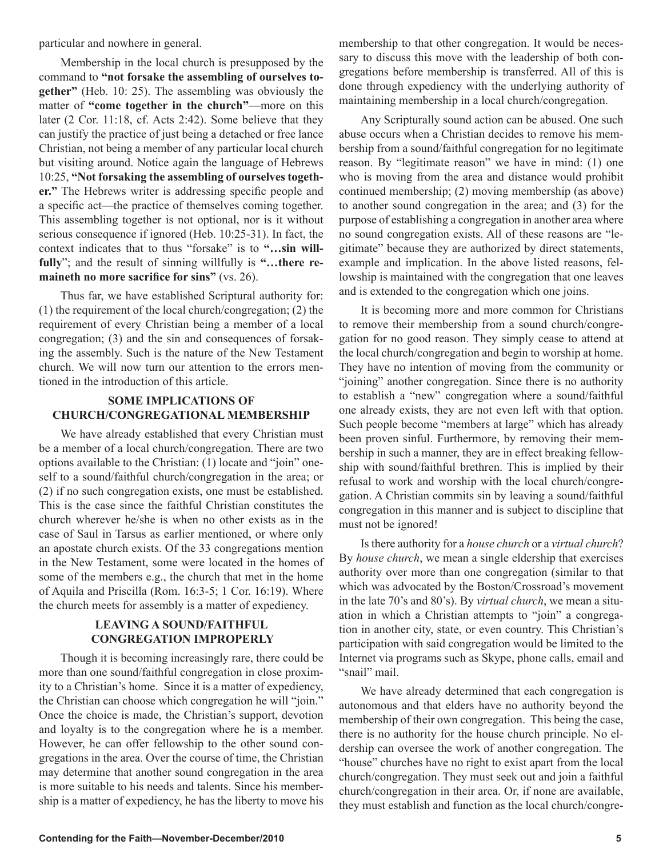particular and nowhere in general.

Membership in the local church is presupposed by the command to **"not forsake the assembling of ourselves together"** (Heb. 10: 25). The assembling was obviously the matter of **"come together in the church"**—more on this later (2 Cor. 11:18, cf. Acts 2:42). Some believe that they can justify the practice of just being a detached or free lance Christian, not being a member of any particular local church but visiting around. Notice again the language of Hebrews 10:25, **"Not forsaking the assembling of ourselves together."** The Hebrews writer is addressing specific people and a specific act—the practice of themselves coming together. This assembling together is not optional, nor is it without serious consequence if ignored (Heb. 10:25-31). In fact, the context indicates that to thus "forsake" is to **"…sin willfully**"; and the result of sinning willfully is **"…there remaineth no more sacrifice for sins"** (vs. 26).

Thus far, we have established Scriptural authority for: (1) the requirement of the local church/congregation; (2) the requirement of every Christian being a member of a local congregation; (3) and the sin and consequences of forsaking the assembly. Such is the nature of the New Testament church. We will now turn our attention to the errors mentioned in the introduction of this article.

#### **SOME IMPLICATIONS OF CHURCH/CONGREGATIONAL MEMBERSHIP**

We have already established that every Christian must be a member of a local church/congregation. There are two options available to the Christian: (1) locate and "join" oneself to a sound/faithful church/congregation in the area; or (2) if no such congregation exists, one must be established. This is the case since the faithful Christian constitutes the church wherever he/she is when no other exists as in the case of Saul in Tarsus as earlier mentioned, or where only an apostate church exists. Of the 33 congregations mention in the New Testament, some were located in the homes of some of the members e.g., the church that met in the home of Aquila and Priscilla (Rom. 16:3-5; 1 Cor. 16:19). Where the church meets for assembly is a matter of expediency.

#### **LEAVING A SOUND/FAITHFUL CONGREGATION IMPROPERLY**

Though it is becoming increasingly rare, there could be more than one sound/faithful congregation in close proximity to a Christian's home. Since it is a matter of expediency, the Christian can choose which congregation he will "join." Once the choice is made, the Christian's support, devotion and loyalty is to the congregation where he is a member. However, he can offer fellowship to the other sound congregations in the area. Over the course of time, the Christian may determine that another sound congregation in the area is more suitable to his needs and talents. Since his membership is a matter of expediency, he has the liberty to move his membership to that other congregation. It would be necessary to discuss this move with the leadership of both congregations before membership is transferred. All of this is done through expediency with the underlying authority of maintaining membership in a local church/congregation.

Any Scripturally sound action can be abused. One such abuse occurs when a Christian decides to remove his membership from a sound/faithful congregation for no legitimate reason. By "legitimate reason" we have in mind: (1) one who is moving from the area and distance would prohibit continued membership; (2) moving membership (as above) to another sound congregation in the area; and (3) for the purpose of establishing a congregation in another area where no sound congregation exists. All of these reasons are "legitimate" because they are authorized by direct statements, example and implication. In the above listed reasons, fellowship is maintained with the congregation that one leaves and is extended to the congregation which one joins.

It is becoming more and more common for Christians to remove their membership from a sound church/congregation for no good reason. They simply cease to attend at the local church/congregation and begin to worship at home. They have no intention of moving from the community or "joining" another congregation. Since there is no authority to establish a "new" congregation where a sound/faithful one already exists, they are not even left with that option. Such people become "members at large" which has already been proven sinful. Furthermore, by removing their membership in such a manner, they are in effect breaking fellowship with sound/faithful brethren. This is implied by their refusal to work and worship with the local church/congregation. A Christian commits sin by leaving a sound/faithful congregation in this manner and is subject to discipline that must not be ignored!

Is there authority for a *house church* or a *virtual church*? By *house church*, we mean a single eldership that exercises authority over more than one congregation (similar to that which was advocated by the Boston/Crossroad's movement in the late 70's and 80's). By *virtual church*, we mean a situation in which a Christian attempts to "join" a congregation in another city, state, or even country. This Christian's participation with said congregation would be limited to the Internet via programs such as Skype, phone calls, email and "snail" mail.

We have already determined that each congregation is autonomous and that elders have no authority beyond the membership of their own congregation. This being the case, there is no authority for the house church principle. No eldership can oversee the work of another congregation. The "house" churches have no right to exist apart from the local church/congregation. They must seek out and join a faithful church/congregation in their area. Or, if none are available, they must establish and function as the local church/congre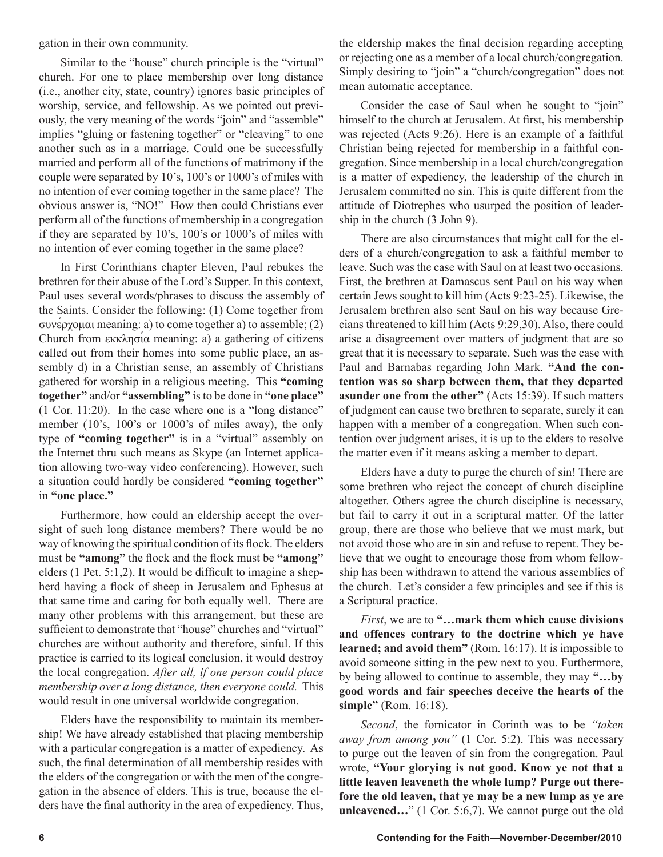gation in their own community.

Similar to the "house" church principle is the "virtual" church. For one to place membership over long distance (i.e., another city, state, country) ignores basic principles of worship, service, and fellowship. As we pointed out previously, the very meaning of the words "join" and "assemble" implies "gluing or fastening together" or "cleaving" to one another such as in a marriage. Could one be successfully married and perform all of the functions of matrimony if the couple were separated by 10's, 100's or 1000's of miles with no intention of ever coming together in the same place? The obvious answer is, "NO!" How then could Christians ever perform all of the functions of membership in a congregation if they are separated by 10's, 100's or 1000's of miles with no intention of ever coming together in the same place?

In First Corinthians chapter Eleven, Paul rebukes the brethren for their abuse of the Lord's Supper. In this context, Paul uses several words/phrases to discuss the assembly of the Saints. Consider the following: (1) Come together from συνέρχομαι meaning: a) to come together a) to assemble; (2) Church from εκκλησία meaning: a) a gathering of citizens called out from their homes into some public place, an assembly d) in a Christian sense, an assembly of Christians gathered for worship in a religious meeting. This **"coming together"** and/or **"assembling"** is to be done in **"one place"** (1 Cor. 11:20). In the case where one is a "long distance" member (10's, 100's or 1000's of miles away), the only type of **"coming together"** is in a "virtual" assembly on the Internet thru such means as Skype (an Internet application allowing two-way video conferencing). However, such a situation could hardly be considered **"coming together"** in **"one place."**

Furthermore, how could an eldership accept the oversight of such long distance members? There would be no way of knowing the spiritual condition of its flock. The elders must be **"among"** the flock and the flock must be **"among"** elders (1 Pet. 5:1,2). It would be difficult to imagine a shepherd having a flock of sheep in Jerusalem and Ephesus at that same time and caring for both equally well. There are many other problems with this arrangement, but these are sufficient to demonstrate that "house" churches and "virtual" churches are without authority and therefore, sinful. If this practice is carried to its logical conclusion, it would destroy the local congregation. *After all, if one person could place membership over a long distance, then everyone could.* This would result in one universal worldwide congregation.

Elders have the responsibility to maintain its membership! We have already established that placing membership with a particular congregation is a matter of expediency. As such, the final determination of all membership resides with the elders of the congregation or with the men of the congregation in the absence of elders. This is true, because the elders have the final authority in the area of expediency. Thus,

the eldership makes the final decision regarding accepting or rejecting one as a member of a local church/congregation. Simply desiring to "join" a "church/congregation" does not mean automatic acceptance.

Consider the case of Saul when he sought to "join" himself to the church at Jerusalem. At first, his membership was rejected (Acts 9:26). Here is an example of a faithful Christian being rejected for membership in a faithful congregation. Since membership in a local church/congregation is a matter of expediency, the leadership of the church in Jerusalem committed no sin. This is quite different from the attitude of Diotrephes who usurped the position of leadership in the church (3 John 9).

There are also circumstances that might call for the elders of a church/congregation to ask a faithful member to leave. Such was the case with Saul on at least two occasions. First, the brethren at Damascus sent Paul on his way when certain Jews sought to kill him (Acts 9:23-25). Likewise, the Jerusalem brethren also sent Saul on his way because Grecians threatened to kill him (Acts 9:29,30). Also, there could arise a disagreement over matters of judgment that are so great that it is necessary to separate. Such was the case with Paul and Barnabas regarding John Mark. **"And the contention was so sharp between them, that they departed asunder one from the other"** (Acts 15:39). If such matters of judgment can cause two brethren to separate, surely it can happen with a member of a congregation. When such contention over judgment arises, it is up to the elders to resolve the matter even if it means asking a member to depart.

Elders have a duty to purge the church of sin! There are some brethren who reject the concept of church discipline altogether. Others agree the church discipline is necessary, but fail to carry it out in a scriptural matter. Of the latter group, there are those who believe that we must mark, but not avoid those who are in sin and refuse to repent. They believe that we ought to encourage those from whom fellowship has been withdrawn to attend the various assemblies of the church. Let's consider a few principles and see if this is a Scriptural practice.

*First*, we are to **"…mark them which cause divisions and offences contrary to the doctrine which ye have learned; and avoid them"** (Rom. 16:17). It is impossible to avoid someone sitting in the pew next to you. Furthermore, by being allowed to continue to assemble, they may **"…by good words and fair speeches deceive the hearts of the simple"** (Rom. 16:18).

*Second*, the fornicator in Corinth was to be *"taken away from among you"* (1 Cor. 5:2). This was necessary to purge out the leaven of sin from the congregation. Paul wrote, **"Your glorying is not good. Know ye not that a little leaven leaveneth the whole lump? Purge out therefore the old leaven, that ye may be a new lump as ye are unleavened…**" (1 Cor. 5:6,7). We cannot purge out the old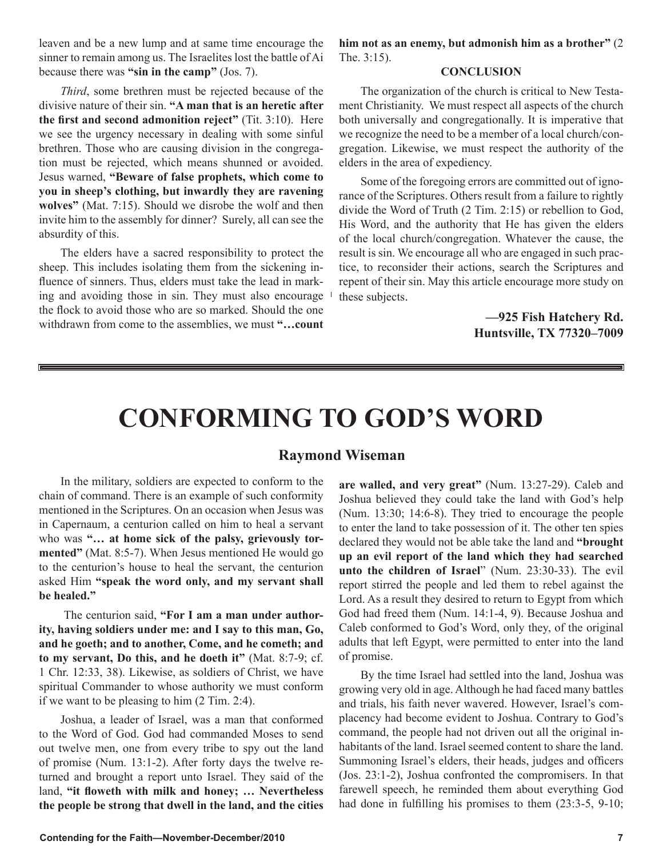leaven and be a new lump and at same time encourage the sinner to remain among us. The Israelites lost the battle of Ai because there was **"sin in the camp"** (Jos. 7).

*Third*, some brethren must be rejected because of the divisive nature of their sin. **"A man that is an heretic after the first and second admonition reject"** (Tit. 3:10). Here we see the urgency necessary in dealing with some sinful brethren. Those who are causing division in the congregation must be rejected, which means shunned or avoided. Jesus warned, **"Beware of false prophets, which come to you in sheep's clothing, but inwardly they are ravening wolves"** (Mat. 7:15). Should we disrobe the wolf and then invite him to the assembly for dinner? Surely, all can see the absurdity of this.

The elders have a sacred responsibility to protect the sheep. This includes isolating them from the sickening influence of sinners. Thus, elders must take the lead in marking and avoiding those in sin. They must also encourage the flock to avoid those who are so marked. Should the one withdrawn from come to the assemblies, we must **"…count** 

**him not as an enemy, but admonish him as a brother"** (2 The. 3:15).

#### **CONCLUSION**

The organization of the church is critical to New Testament Christianity. We must respect all aspects of the church both universally and congregationally. It is imperative that we recognize the need to be a member of a local church/congregation. Likewise, we must respect the authority of the elders in the area of expediency.

Some of the foregoing errors are committed out of ignorance of the Scriptures. Others result from a failure to rightly divide the Word of Truth (2 Tim. 2:15) or rebellion to God, His Word, and the authority that He has given the elders of the local church/congregation. Whatever the cause, the result is sin. We encourage all who are engaged in such practice, to reconsider their actions, search the Scriptures and repent of their sin. May this article encourage more study on these subjects.

> **—925 Fish Hatchery Rd. Huntsville, TX 77320–7009**

# **CONFORMING TO GOD'S WORD**

#### **Raymond Wiseman**

In the military, soldiers are expected to conform to the chain of command. There is an example of such conformity mentioned in the Scriptures. On an occasion when Jesus was in Capernaum, a centurion called on him to heal a servant who was **"… at home sick of the palsy, grievously tormented"** (Mat. 8:5-7). When Jesus mentioned He would go to the centurion's house to heal the servant, the centurion asked Him **"speak the word only, and my servant shall be healed."**

 The centurion said, **"For I am a man under authority, having soldiers under me: and I say to this man, Go, and he goeth; and to another, Come, and he cometh; and to my servant, Do this, and he doeth it"** (Mat. 8:7-9; cf. 1 Chr. 12:33, 38). Likewise, as soldiers of Christ, we have spiritual Commander to whose authority we must conform if we want to be pleasing to him (2 Tim. 2:4).

Joshua, a leader of Israel, was a man that conformed to the Word of God. God had commanded Moses to send out twelve men, one from every tribe to spy out the land of promise (Num. 13:1-2). After forty days the twelve returned and brought a report unto Israel. They said of the land, **"it floweth with milk and honey; … Nevertheless the people be strong that dwell in the land, and the cities** 

**are walled, and very great"** (Num. 13:27-29). Caleb and Joshua believed they could take the land with God's help (Num. 13:30; 14:6-8). They tried to encourage the people to enter the land to take possession of it. The other ten spies declared they would not be able take the land and **"brought up an evil report of the land which they had searched unto the children of Israel**" (Num. 23:30-33). The evil report stirred the people and led them to rebel against the Lord. As a result they desired to return to Egypt from which God had freed them (Num. 14:1-4, 9). Because Joshua and Caleb conformed to God's Word, only they, of the original adults that left Egypt, were permitted to enter into the land of promise.

By the time Israel had settled into the land, Joshua was growing very old in age. Although he had faced many battles and trials, his faith never wavered. However, Israel's complacency had become evident to Joshua. Contrary to God's command, the people had not driven out all the original inhabitants of the land. Israel seemed content to share the land. Summoning Israel's elders, their heads, judges and officers (Jos. 23:1-2), Joshua confronted the compromisers. In that farewell speech, he reminded them about everything God had done in fulfilling his promises to them (23:3-5, 9-10;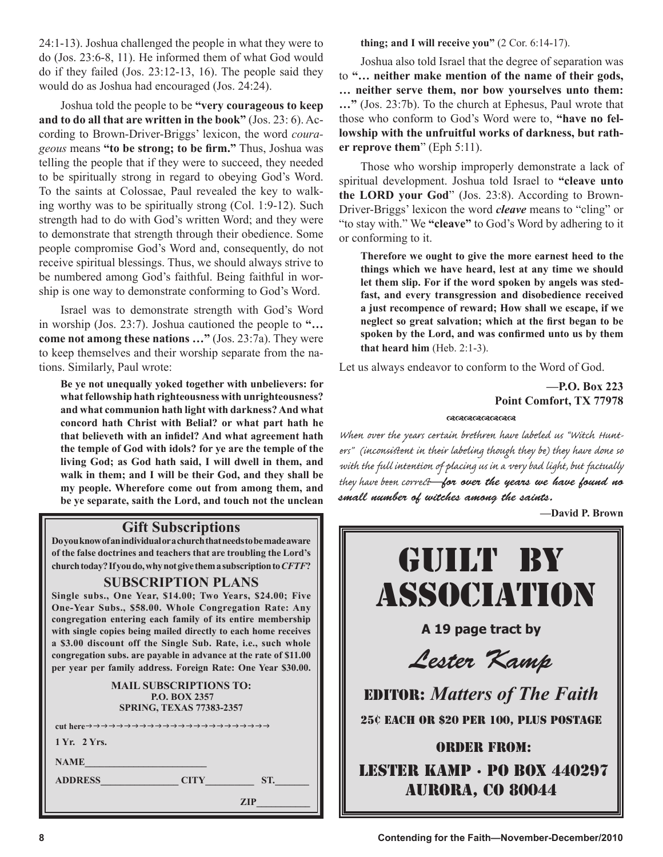24:1-13). Joshua challenged the people in what they were to do (Jos. 23:6-8, 11). He informed them of what God would do if they failed (Jos. 23:12-13, 16). The people said they would do as Joshua had encouraged (Jos. 24:24).

Joshua told the people to be **"very courageous to keep and to do all that are written in the book"** (Jos. 23: 6). According to Brown-Driver-Briggs' lexicon, the word *courageous* means **"to be strong; to be firm."** Thus, Joshua was telling the people that if they were to succeed, they needed to be spiritually strong in regard to obeying God's Word. To the saints at Colossae, Paul revealed the key to walking worthy was to be spiritually strong (Col. 1:9-12). Such strength had to do with God's written Word; and they were to demonstrate that strength through their obedience. Some people compromise God's Word and, consequently, do not receive spiritual blessings. Thus, we should always strive to be numbered among God's faithful. Being faithful in worship is one way to demonstrate conforming to God's Word.

Israel was to demonstrate strength with God's Word in worship (Jos. 23:7). Joshua cautioned the people to **"… come not among these nations …"** (Jos. 23:7a). They were to keep themselves and their worship separate from the nations. Similarly, Paul wrote:

**Be ye not unequally yoked together with unbelievers: for what fellowship hath righteousness with unrighteousness? and what communion hath light with darkness? And what concord hath Christ with Belial? or what part hath he that believeth with an infidel? And what agreement hath the temple of God with idols? for ye are the temple of the living God; as God hath said, I will dwell in them, and walk in them; and I will be their God, and they shall be my people. Wherefore come out from among them, and be ye separate, saith the Lord, and touch not the unclean** 

#### **Gift Subscriptions**

**Do you know of an individual or a church that needs to be made aware of the false doctrines and teachers that are troubling the Lord's church today? If you do, why not give them a subscription to** *CFTF***?**

#### **SUBSCRIPTION PLANS**

**Single subs., One Year, \$14.00; Two Years, \$24.00; Five One-Year Subs., \$58.00. Whole Congregation Rate: Any congregation entering each family of its entire membership with single copies being mailed directly to each home receives a \$3.00 discount off the Single Sub. Rate, i.e., such whole congregation subs. are payable in advance at the rate of \$11.00 per year per family address. Foreign Rate: One Year \$30.00.**

> **MAIL SUBSCRIPTIONS TO: P.O. BOX 2357 SPRING, TEXAS 77383-2357**

| 1 Yr. 2 Yrs.   |                    |
|----------------|--------------------|
| <b>NAME</b>    |                    |
| <b>ADDRESS</b> | ST.<br><b>CITY</b> |
|                | <b>ZIP</b>         |

**thing; and I will receive you"** (2 Cor. 6:14-17).

Joshua also told Israel that the degree of separation was to **"… neither make mention of the name of their gods, … neither serve them, nor bow yourselves unto them: …"** (Jos. 23:7b). To the church at Ephesus, Paul wrote that those who conform to God's Word were to, **"have no fellowship with the unfruitful works of darkness, but rather reprove them**" (Eph 5:11).

Those who worship improperly demonstrate a lack of spiritual development. Joshua told Israel to **"cleave unto the LORD your God**" (Jos. 23:8). According to Brown-Driver-Briggs' lexicon the word *cleave* means to "cling" or "to stay with." We **"cleave"** to God's Word by adhering to it or conforming to it.

**Therefore we ought to give the more earnest heed to the things which we have heard, lest at any time we should let them slip. For if the word spoken by angels was stedfast, and every transgression and disobedience received a just recompence of reward; How shall we escape, if we neglect so great salvation; which at the first began to be spoken by the Lord, and was confirmed unto us by them that heard him** (Heb. 2:1-3).

Let us always endeavor to conform to the Word of God.

**—P.O. Box 223 Point Comfort, TX 77978**

#### രാജവായ **മാ**ണ്ട

When over the years certain brethren have labeled us "Witch Hunters" (inconsistent in their labeling though they be) they have done so with the full intention of placing us in a very bad light, but factually they have been corre**—**for over the years we have found no small number of witches among the saints.

**—David P. Brown** 

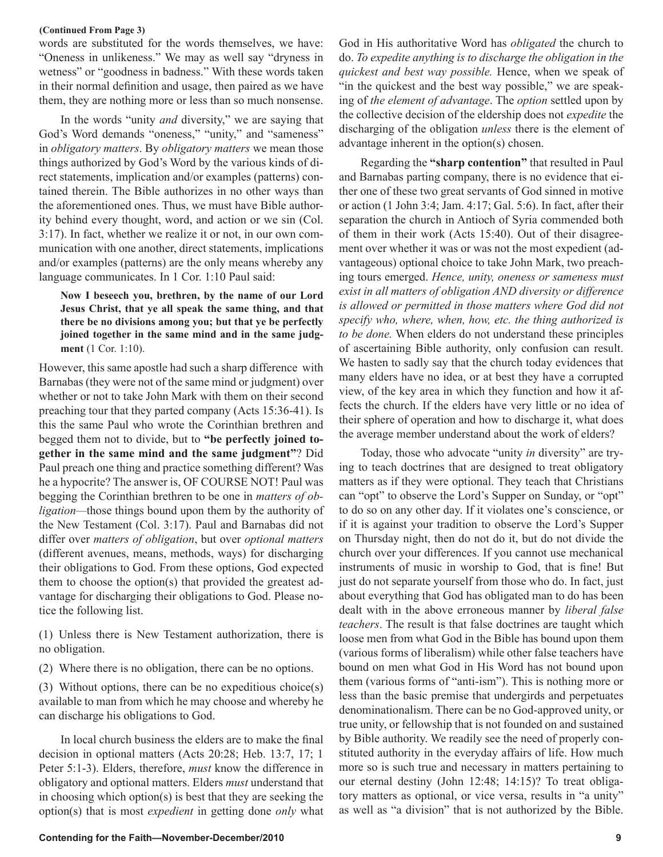#### **(Continued From Page 3)**

words are substituted for the words themselves, we have: "Oneness in unlikeness." We may as well say "dryness in wetness" or "goodness in badness." With these words taken in their normal definition and usage, then paired as we have them, they are nothing more or less than so much nonsense.

In the words "unity *and* diversity," we are saying that God's Word demands "oneness," "unity," and "sameness" in *obligatory matters*. By *obligatory matters* we mean those things authorized by God's Word by the various kinds of direct statements, implication and/or examples (patterns) contained therein. The Bible authorizes in no other ways than the aforementioned ones. Thus, we must have Bible authority behind every thought, word, and action or we sin (Col. 3:17). In fact, whether we realize it or not, in our own communication with one another, direct statements, implications and/or examples (patterns) are the only means whereby any language communicates. In 1 Cor. 1:10 Paul said:

**Now I beseech you, brethren, by the name of our Lord Jesus Christ, that ye all speak the same thing, and that there be no divisions among you; but that ye be perfectly joined together in the same mind and in the same judgment** (1 Cor. 1:10).

However, this same apostle had such a sharp difference with Barnabas (they were not of the same mind or judgment) over whether or not to take John Mark with them on their second preaching tour that they parted company (Acts 15:36-41). Is this the same Paul who wrote the Corinthian brethren and begged them not to divide, but to **"be perfectly joined together in the same mind and the same judgment"**? Did Paul preach one thing and practice something different? Was he a hypocrite? The answer is, OF COURSE NOT! Paul was begging the Corinthian brethren to be one in *matters of obligation—*those things bound upon them by the authority of the New Testament (Col. 3:17). Paul and Barnabas did not differ over *matters of obligation*, but over *optional matters* (different avenues, means, methods, ways) for discharging their obligations to God. From these options, God expected them to choose the option(s) that provided the greatest advantage for discharging their obligations to God. Please notice the following list.

(1) Unless there is New Testament authorization, there is no obligation.

(2) Where there is no obligation, there can be no options.

(3) Without options, there can be no expeditious choice(s) available to man from which he may choose and whereby he can discharge his obligations to God.

In local church business the elders are to make the final decision in optional matters (Acts 20:28; Heb. 13:7, 17; 1 Peter 5:1-3). Elders, therefore, *must* know the difference in obligatory and optional matters. Elders *must* understand that in choosing which option(s) is best that they are seeking the option(s) that is most *expedient* in getting done *only* what God in His authoritative Word has *obligated* the church to do. *To expedite anything is to discharge the obligation in the quickest and best way possible.* Hence, when we speak of "in the quickest and the best way possible," we are speaking of *the element of advantage*. The *option* settled upon by the collective decision of the eldership does not *expedite* the discharging of the obligation *unless* there is the element of advantage inherent in the option(s) chosen.

Regarding the **"sharp contention"** that resulted in Paul and Barnabas parting company, there is no evidence that either one of these two great servants of God sinned in motive or action (1 John 3:4; Jam. 4:17; Gal. 5:6). In fact, after their separation the church in Antioch of Syria commended both of them in their work (Acts 15:40). Out of their disagreement over whether it was or was not the most expedient (advantageous) optional choice to take John Mark, two preaching tours emerged. *Hence, unity, oneness or sameness must exist in all matters of obligation AND diversity or difference is allowed or permitted in those matters where God did not specify who, where, when, how, etc. the thing authorized is to be done.* When elders do not understand these principles of ascertaining Bible authority, only confusion can result. We hasten to sadly say that the church today evidences that many elders have no idea, or at best they have a corrupted view, of the key area in which they function and how it affects the church. If the elders have very little or no idea of their sphere of operation and how to discharge it, what does the average member understand about the work of elders?

Today, those who advocate "unity *in* diversity" are trying to teach doctrines that are designed to treat obligatory matters as if they were optional. They teach that Christians can "opt" to observe the Lord's Supper on Sunday, or "opt" to do so on any other day. If it violates one's conscience, or if it is against your tradition to observe the Lord's Supper on Thursday night, then do not do it, but do not divide the church over your differences. If you cannot use mechanical instruments of music in worship to God, that is fine! But just do not separate yourself from those who do. In fact, just about everything that God has obligated man to do has been dealt with in the above erroneous manner by *liberal false teachers*. The result is that false doctrines are taught which loose men from what God in the Bible has bound upon them (various forms of liberalism) while other false teachers have bound on men what God in His Word has not bound upon them (various forms of "anti-ism"). This is nothing more or less than the basic premise that undergirds and perpetuates denominationalism. There can be no God-approved unity, or true unity, or fellowship that is not founded on and sustained by Bible authority. We readily see the need of properly constituted authority in the everyday affairs of life. How much more so is such true and necessary in matters pertaining to our eternal destiny (John 12:48; 14:15)? To treat obligatory matters as optional, or vice versa, results in "a unity" as well as "a division" that is not authorized by the Bible.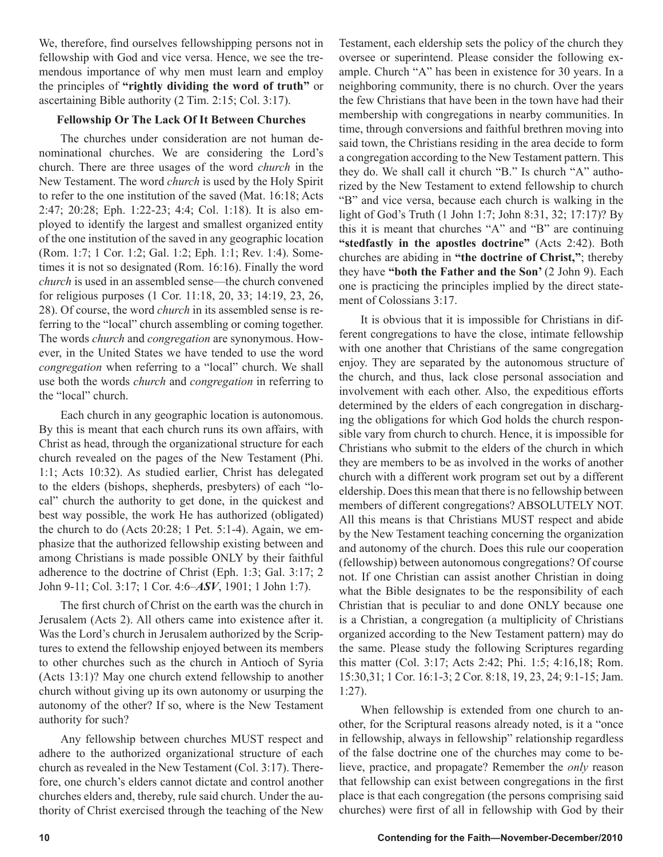We, therefore, find ourselves fellowshipping persons not in fellowship with God and vice versa. Hence, we see the tremendous importance of why men must learn and employ the principles of **"rightly dividing the word of truth"** or ascertaining Bible authority (2 Tim. 2:15; Col. 3:17).

#### **Fellowship Or The Lack Of It Between Churches**

The churches under consideration are not human denominational churches. We are considering the Lord's church. There are three usages of the word *church* in the New Testament. The word *church* is used by the Holy Spirit to refer to the one institution of the saved (Mat. 16:18; Acts 2:47; 20:28; Eph. 1:22-23; 4:4; Col. 1:18). It is also employed to identify the largest and smallest organized entity of the one institution of the saved in any geographic location (Rom. 1:7; 1 Cor. 1:2; Gal. 1:2; Eph. 1:1; Rev. 1:4). Sometimes it is not so designated (Rom. 16:16). Finally the word *church* is used in an assembled sense—the church convened for religious purposes (1 Cor. 11:18, 20, 33; 14:19, 23, 26, 28). Of course, the word *church* in its assembled sense is referring to the "local" church assembling or coming together. The words *church* and *congregation* are synonymous. However, in the United States we have tended to use the word *congregation* when referring to a "local" church. We shall use both the words *church* and *congregation* in referring to the "local" church.

Each church in any geographic location is autonomous. By this is meant that each church runs its own affairs, with Christ as head, through the organizational structure for each church revealed on the pages of the New Testament (Phi. 1:1; Acts 10:32). As studied earlier, Christ has delegated to the elders (bishops, shepherds, presbyters) of each "local" church the authority to get done, in the quickest and best way possible, the work He has authorized (obligated) the church to do (Acts 20:28; 1 Pet. 5:1-4). Again, we emphasize that the authorized fellowship existing between and among Christians is made possible ONLY by their faithful adherence to the doctrine of Christ (Eph. 1:3; Gal. 3:17; 2 John 9-11; Col. 3:17; 1 Cor. 4:6–*ASV*, 1901; 1 John 1:7).

The first church of Christ on the earth was the church in Jerusalem (Acts 2). All others came into existence after it. Was the Lord's church in Jerusalem authorized by the Scriptures to extend the fellowship enjoyed between its members to other churches such as the church in Antioch of Syria (Acts 13:1)? May one church extend fellowship to another church without giving up its own autonomy or usurping the autonomy of the other? If so, where is the New Testament authority for such?

Any fellowship between churches MUST respect and adhere to the authorized organizational structure of each church as revealed in the New Testament (Col. 3:17). Therefore, one church's elders cannot dictate and control another churches elders and, thereby, rule said church. Under the authority of Christ exercised through the teaching of the New

Testament, each eldership sets the policy of the church they oversee or superintend. Please consider the following example. Church "A" has been in existence for 30 years. In a neighboring community, there is no church. Over the years the few Christians that have been in the town have had their membership with congregations in nearby communities. In time, through conversions and faithful brethren moving into said town, the Christians residing in the area decide to form a congregation according to the New Testament pattern. This they do. We shall call it church "B." Is church "A" authorized by the New Testament to extend fellowship to church "B" and vice versa, because each church is walking in the light of God's Truth (1 John 1:7; John 8:31, 32; 17:17)? By this it is meant that churches "A" and "B" are continuing **"stedfastly in the apostles doctrine"** (Acts 2:42). Both churches are abiding in **"the doctrine of Christ,"**; thereby they have **"both the Father and the Son'** (2 John 9). Each one is practicing the principles implied by the direct statement of Colossians 3:17.

It is obvious that it is impossible for Christians in different congregations to have the close, intimate fellowship with one another that Christians of the same congregation enjoy. They are separated by the autonomous structure of the church, and thus, lack close personal association and involvement with each other. Also, the expeditious efforts determined by the elders of each congregation in discharging the obligations for which God holds the church responsible vary from church to church. Hence, it is impossible for Christians who submit to the elders of the church in which they are members to be as involved in the works of another church with a different work program set out by a different eldership. Does this mean that there is no fellowship between members of different congregations? ABSOLUTELY NOT. All this means is that Christians MUST respect and abide by the New Testament teaching concerning the organization and autonomy of the church. Does this rule our cooperation (fellowship) between autonomous congregations? Of course not. If one Christian can assist another Christian in doing what the Bible designates to be the responsibility of each Christian that is peculiar to and done ONLY because one is a Christian, a congregation (a multiplicity of Christians organized according to the New Testament pattern) may do the same. Please study the following Scriptures regarding this matter (Col. 3:17; Acts 2:42; Phi. 1:5; 4:16,18; Rom. 15:30,31; 1 Cor. 16:1-3; 2 Cor. 8:18, 19, 23, 24; 9:1-15; Jam. 1:27).

When fellowship is extended from one church to another, for the Scriptural reasons already noted, is it a "once in fellowship, always in fellowship" relationship regardless of the false doctrine one of the churches may come to believe, practice, and propagate? Remember the *only* reason that fellowship can exist between congregations in the first place is that each congregation (the persons comprising said churches) were first of all in fellowship with God by their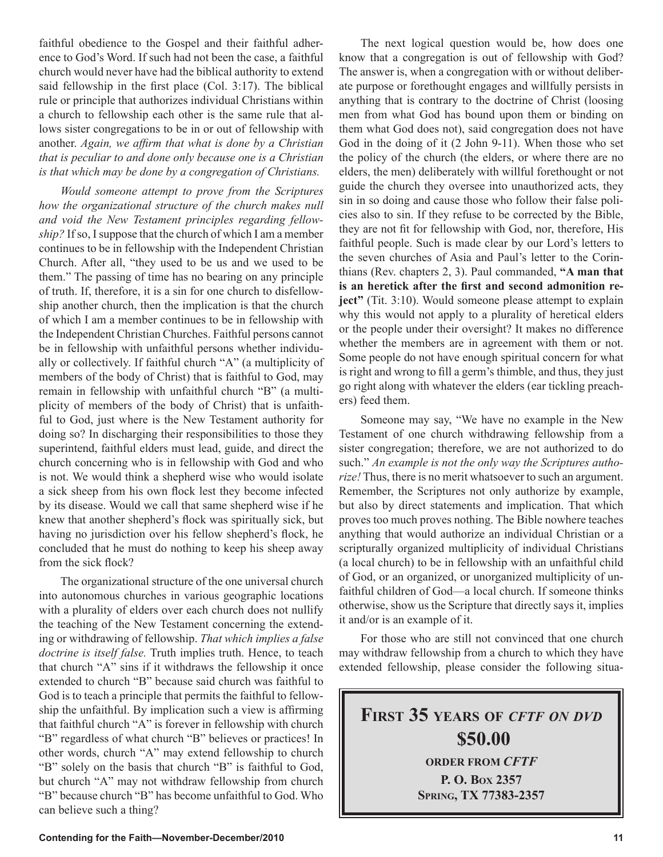*that is peculiar to and done only because one is a Christian is that which may be done by a congregation of Christians. Would someone attempt to prove from the Scriptures how the organizational structure of the church makes null and void the New Testament principles regarding fellowship?* If so, I suppose that the church of which I am a member continues to be in fellowship with the Independent Christian

faithful obedience to the Gospel and their faithful adherence to God's Word. If such had not been the case, a faithful church would never have had the biblical authority to extend said fellowship in the first place (Col. 3:17). The biblical rule or principle that authorizes individual Christians within a church to fellowship each other is the same rule that allows sister congregations to be in or out of fellowship with another. *Again, we affirm that what is done by a Christian* 

Church. After all, "they used to be us and we used to be them." The passing of time has no bearing on any principle of truth. If, therefore, it is a sin for one church to disfellowship another church, then the implication is that the church of which I am a member continues to be in fellowship with the Independent Christian Churches. Faithful persons cannot be in fellowship with unfaithful persons whether individually or collectively. If faithful church "A" (a multiplicity of members of the body of Christ) that is faithful to God, may remain in fellowship with unfaithful church "B" (a multiplicity of members of the body of Christ) that is unfaithful to God, just where is the New Testament authority for doing so? In discharging their responsibilities to those they superintend, faithful elders must lead, guide, and direct the church concerning who is in fellowship with God and who is not. We would think a shepherd wise who would isolate a sick sheep from his own flock lest they become infected by its disease. Would we call that same shepherd wise if he knew that another shepherd's flock was spiritually sick, but having no jurisdiction over his fellow shepherd's flock, he concluded that he must do nothing to keep his sheep away from the sick flock?

The organizational structure of the one universal church into autonomous churches in various geographic locations with a plurality of elders over each church does not nullify the teaching of the New Testament concerning the extending or withdrawing of fellowship. *That which implies a false doctrine is itself false.* Truth implies truth. Hence, to teach that church "A" sins if it withdraws the fellowship it once extended to church "B" because said church was faithful to God is to teach a principle that permits the faithful to fellowship the unfaithful. By implication such a view is affirming that faithful church "A" is forever in fellowship with church "B" regardless of what church "B" believes or practices! In other words, church "A" may extend fellowship to church "B" solely on the basis that church "B" is faithful to God, but church "A" may not withdraw fellowship from church "B" because church "B" has become unfaithful to God. Who can believe such a thing?

The next logical question would be, how does one know that a congregation is out of fellowship with God? The answer is, when a congregation with or without deliberate purpose or forethought engages and willfully persists in anything that is contrary to the doctrine of Christ (loosing men from what God has bound upon them or binding on them what God does not), said congregation does not have God in the doing of it (2 John 9-11). When those who set the policy of the church (the elders, or where there are no elders, the men) deliberately with willful forethought or not guide the church they oversee into unauthorized acts, they sin in so doing and cause those who follow their false policies also to sin. If they refuse to be corrected by the Bible, they are not fit for fellowship with God, nor, therefore, His faithful people. Such is made clear by our Lord's letters to the seven churches of Asia and Paul's letter to the Corinthians (Rev. chapters 2, 3). Paul commanded, **"A man that is an heretick after the first and second admonition reject**" (Tit. 3:10). Would someone please attempt to explain why this would not apply to a plurality of heretical elders or the people under their oversight? It makes no difference whether the members are in agreement with them or not. Some people do not have enough spiritual concern for what is right and wrong to fill a germ's thimble, and thus, they just go right along with whatever the elders (ear tickling preachers) feed them.

Someone may say, "We have no example in the New Testament of one church withdrawing fellowship from a sister congregation; therefore, we are not authorized to do such." *An example is not the only way the Scriptures authorize!* Thus, there is no merit whatsoever to such an argument. Remember, the Scriptures not only authorize by example, but also by direct statements and implication. That which proves too much proves nothing. The Bible nowhere teaches anything that would authorize an individual Christian or a scripturally organized multiplicity of individual Christians (a local church) to be in fellowship with an unfaithful child of God, or an organized, or unorganized multiplicity of unfaithful children of God—a local church. If someone thinks otherwise, show us the Scripture that directly says it, implies it and/or is an example of it.

For those who are still not convinced that one church may withdraw fellowship from a church to which they have extended fellowship, please consider the following situa-

**FIRST 35 YEARS OF** *CFTF ON DVD* **\$50.00 ORDER FROM** *CFTF* **P. O. BOX 2357 SPRING, TX 77383-2357**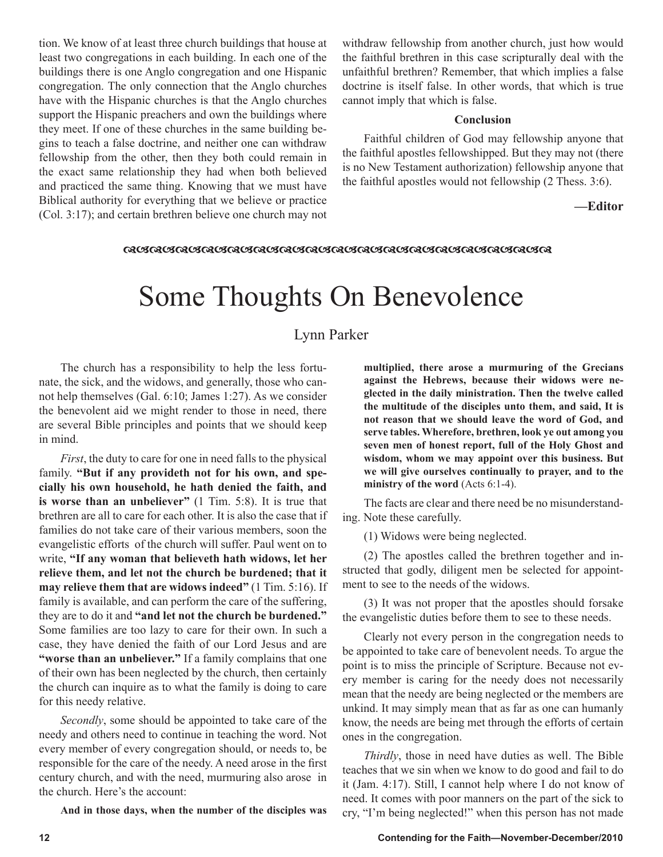tion. We know of at least three church buildings that house at least two congregations in each building. In each one of the buildings there is one Anglo congregation and one Hispanic congregation. The only connection that the Anglo churches have with the Hispanic churches is that the Anglo churches support the Hispanic preachers and own the buildings where they meet. If one of these churches in the same building begins to teach a false doctrine, and neither one can withdraw fellowship from the other, then they both could remain in the exact same relationship they had when both believed and practiced the same thing. Knowing that we must have Biblical authority for everything that we believe or practice (Col. 3:17); and certain brethren believe one church may not withdraw fellowship from another church, just how would the faithful brethren in this case scripturally deal with the unfaithful brethren? Remember, that which implies a false doctrine is itself false. In other words, that which is true cannot imply that which is false.

#### **Conclusion**

Faithful children of God may fellowship anyone that the faithful apostles fellowshipped. But they may not (there is no New Testament authorization) fellowship anyone that the faithful apostles would not fellowship (2 Thess. 3:6).

#### **—Editor**

#### *ୠଔଊଔଊଔଊଔଊଔଊଔଊଔଊଔଊଔଊଔଊଔଊଔଊଔଊଔଊଔଊଔଊ*

# Some Thoughts On Benevolence

#### Lynn Parker

The church has a responsibility to help the less fortunate, the sick, and the widows, and generally, those who cannot help themselves (Gal. 6:10; James 1:27). As we consider the benevolent aid we might render to those in need, there are several Bible principles and points that we should keep in mind.

*First*, the duty to care for one in need falls to the physical family. **"But if any provideth not for his own, and specially his own household, he hath denied the faith, and is worse than an unbeliever"** (1 Tim. 5:8). It is true that brethren are all to care for each other. It is also the case that if families do not take care of their various members, soon the evangelistic efforts of the church will suffer. Paul went on to write, **"If any woman that believeth hath widows, let her relieve them, and let not the church be burdened; that it may relieve them that are widows indeed"** (1 Tim. 5:16). If family is available, and can perform the care of the suffering, they are to do it and **"and let not the church be burdened."** Some families are too lazy to care for their own. In such a case, they have denied the faith of our Lord Jesus and are **"worse than an unbeliever."** If a family complains that one of their own has been neglected by the church, then certainly the church can inquire as to what the family is doing to care for this needy relative.

*Secondly*, some should be appointed to take care of the needy and others need to continue in teaching the word. Not every member of every congregation should, or needs to, be responsible for the care of the needy. A need arose in the first century church, and with the need, murmuring also arose in the church. Here's the account:

**And in those days, when the number of the disciples was** 

**multiplied, there arose a murmuring of the Grecians against the Hebrews, because their widows were neglected in the daily ministration. Then the twelve called the multitude of the disciples unto them, and said, It is not reason that we should leave the word of God, and serve tables. Wherefore, brethren, look ye out among you seven men of honest report, full of the Holy Ghost and wisdom, whom we may appoint over this business. But we will give ourselves continually to prayer, and to the ministry of the word** (Acts 6:1-4).

The facts are clear and there need be no misunderstanding. Note these carefully.

(1) Widows were being neglected.

(2) The apostles called the brethren together and instructed that godly, diligent men be selected for appointment to see to the needs of the widows.

(3) It was not proper that the apostles should forsake the evangelistic duties before them to see to these needs.

Clearly not every person in the congregation needs to be appointed to take care of benevolent needs. To argue the point is to miss the principle of Scripture. Because not every member is caring for the needy does not necessarily mean that the needy are being neglected or the members are unkind. It may simply mean that as far as one can humanly know, the needs are being met through the efforts of certain ones in the congregation.

*Thirdly*, those in need have duties as well. The Bible teaches that we sin when we know to do good and fail to do it (Jam. 4:17). Still, I cannot help where I do not know of need. It comes with poor manners on the part of the sick to cry, "I'm being neglected!" when this person has not made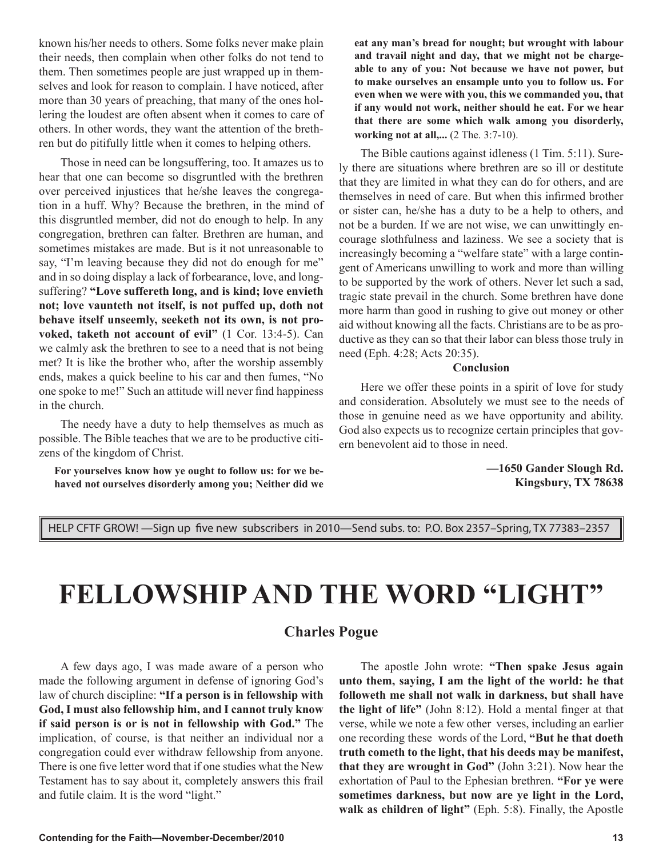known his/her needs to others. Some folks never make plain their needs, then complain when other folks do not tend to them. Then sometimes people are just wrapped up in themselves and look for reason to complain. I have noticed, after more than 30 years of preaching, that many of the ones hollering the loudest are often absent when it comes to care of others. In other words, they want the attention of the brethren but do pitifully little when it comes to helping others.

Those in need can be longsuffering, too. It amazes us to hear that one can become so disgruntled with the brethren over perceived injustices that he/she leaves the congregation in a huff. Why? Because the brethren, in the mind of this disgruntled member, did not do enough to help. In any congregation, brethren can falter. Brethren are human, and sometimes mistakes are made. But is it not unreasonable to say, "I'm leaving because they did not do enough for me" and in so doing display a lack of forbearance, love, and longsuffering? **"Love suffereth long, and is kind; love envieth not; love vaunteth not itself, is not puffed up, doth not behave itself unseemly, seeketh not its own, is not provoked, taketh not account of evil"** (1 Cor. 13:4-5). Can we calmly ask the brethren to see to a need that is not being met? It is like the brother who, after the worship assembly ends, makes a quick beeline to his car and then fumes, "No one spoke to me!" Such an attitude will never find happiness in the church.

The needy have a duty to help themselves as much as possible. The Bible teaches that we are to be productive citizens of the kingdom of Christ.

**For yourselves know how ye ought to follow us: for we behaved not ourselves disorderly among you; Neither did we** 

**eat any man's bread for nought; but wrought with labour and travail night and day, that we might not be chargeable to any of you: Not because we have not power, but to make ourselves an ensample unto you to follow us. For even when we were with you, this we commanded you, that if any would not work, neither should he eat. For we hear that there are some which walk among you disorderly, working not at all,...** (2 The. 3:7-10).

The Bible cautions against idleness (1 Tim. 5:11). Surely there are situations where brethren are so ill or destitute that they are limited in what they can do for others, and are themselves in need of care. But when this infirmed brother or sister can, he/she has a duty to be a help to others, and not be a burden. If we are not wise, we can unwittingly encourage slothfulness and laziness. We see a society that is increasingly becoming a "welfare state" with a large contingent of Americans unwilling to work and more than willing to be supported by the work of others. Never let such a sad, tragic state prevail in the church. Some brethren have done more harm than good in rushing to give out money or other aid without knowing all the facts. Christians are to be as productive as they can so that their labor can bless those truly in need (Eph. 4:28; Acts 20:35).

#### **Conclusion**

Here we offer these points in a spirit of love for study and consideration. Absolutely we must see to the needs of those in genuine need as we have opportunity and ability. God also expects us to recognize certain principles that govern benevolent aid to those in need.

> **—1650 Gander Slough Rd. Kingsbury, TX 78638**

HELP CFTF GROW! —Sign up five new subscribers in 2010—Send subs. to: P.O. Box 2357–Spring, TX 77383–2357

# **FELLOWSHIP AND THE WORD "LIGHT"**

#### **Charles Pogue**

A few days ago, I was made aware of a person who made the following argument in defense of ignoring God's law of church discipline: **"If a person is in fellowship with God, I must also fellowship him, and I cannot truly know if said person is or is not in fellowship with God."** The implication, of course, is that neither an individual nor a congregation could ever withdraw fellowship from anyone. There is one five letter word that if one studies what the New Testament has to say about it, completely answers this frail and futile claim. It is the word "light."

The apostle John wrote: **"Then spake Jesus again unto them, saying, I am the light of the world: he that followeth me shall not walk in darkness, but shall have the light of life"** (John 8:12). Hold a mental finger at that verse, while we note a few other verses, including an earlier one recording these words of the Lord, **"But he that doeth truth cometh to the light, that his deeds may be manifest, that they are wrought in God"** (John 3:21). Now hear the exhortation of Paul to the Ephesian brethren. **"For ye were sometimes darkness, but now are ye light in the Lord, walk as children of light"** (Eph. 5:8). Finally, the Apostle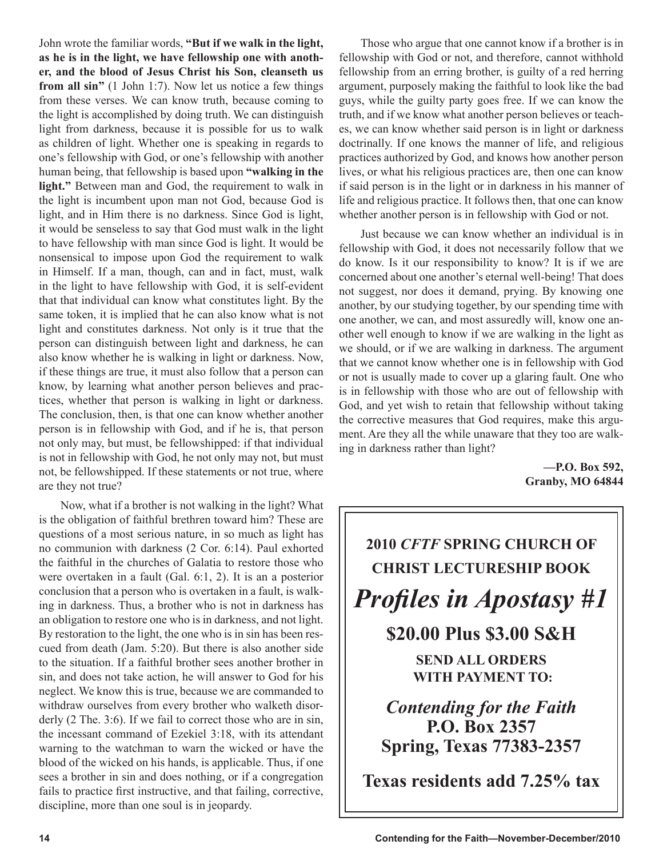John wrote the familiar words, **"But if we walk in the light, as he is in the light, we have fellowship one with another, and the blood of Jesus Christ his Son, cleanseth us from all sin"** (1 John 1:7). Now let us notice a few things from these verses. We can know truth, because coming to the light is accomplished by doing truth. We can distinguish light from darkness, because it is possible for us to walk as children of light. Whether one is speaking in regards to one's fellowship with God, or one's fellowship with another human being, that fellowship is based upon **"walking in the light."** Between man and God, the requirement to walk in the light is incumbent upon man not God, because God is light, and in Him there is no darkness. Since God is light, it would be senseless to say that God must walk in the light to have fellowship with man since God is light. It would be nonsensical to impose upon God the requirement to walk in Himself. If a man, though, can and in fact, must, walk in the light to have fellowship with God, it is self-evident that that individual can know what constitutes light. By the same token, it is implied that he can also know what is not light and constitutes darkness. Not only is it true that the person can distinguish between light and darkness, he can also know whether he is walking in light or darkness. Now, if these things are true, it must also follow that a person can know, by learning what another person believes and practices, whether that person is walking in light or darkness. The conclusion, then, is that one can know whether another person is in fellowship with God, and if he is, that person not only may, but must, be fellowshipped: if that individual is not in fellowship with God, he not only may not, but must not, be fellowshipped. If these statements or not true, where are they not true?

Now, what if a brother is not walking in the light? What is the obligation of faithful brethren toward him? These are questions of a most serious nature, in so much as light has no communion with darkness (2 Cor. 6:14). Paul exhorted the faithful in the churches of Galatia to restore those who were overtaken in a fault (Gal. 6:1, 2). It is an a posterior conclusion that a person who is overtaken in a fault, is walking in darkness. Thus, a brother who is not in darkness has an obligation to restore one who is in darkness, and not light. By restoration to the light, the one who is in sin has been rescued from death (Jam. 5:20). But there is also another side to the situation. If a faithful brother sees another brother in sin, and does not take action, he will answer to God for his neglect. We know this is true, because we are commanded to withdraw ourselves from every brother who walketh disorderly (2 The. 3:6). If we fail to correct those who are in sin, the incessant command of Ezekiel 3:18, with its attendant warning to the watchman to warn the wicked or have the blood of the wicked on his hands, is applicable. Thus, if one sees a brother in sin and does nothing, or if a congregation fails to practice first instructive, and that failing, corrective, discipline, more than one soul is in jeopardy.

Those who argue that one cannot know if a brother is in fellowship with God or not, and therefore, cannot withhold fellowship from an erring brother, is guilty of a red herring argument, purposely making the faithful to look like the bad guys, while the guilty party goes free. If we can know the truth, and if we know what another person believes or teaches, we can know whether said person is in light or darkness doctrinally. If one knows the manner of life, and religious practices authorized by God, and knows how another person lives, or what his religious practices are, then one can know if said person is in the light or in darkness in his manner of life and religious practice. It follows then, that one can know whether another person is in fellowship with God or not.

Just because we can know whether an individual is in fellowship with God, it does not necessarily follow that we do know. Is it our responsibility to know? It is if we are concerned about one another's eternal well-being! That does not suggest, nor does it demand, prying. By knowing one another, by our studying together, by our spending time with one another, we can, and most assuredly will, know one another well enough to know if we are walking in the light as we should, or if we are walking in darkness. The argument that we cannot know whether one is in fellowship with God or not is usually made to cover up a glaring fault. One who is in fellowship with those who are out of fellowship with God, and yet wish to retain that fellowship without taking the corrective measures that God requires, make this argument. Are they all the while unaware that they too are walking in darkness rather than light?

> **—P.O. Box 592, Granby, MO 64844**

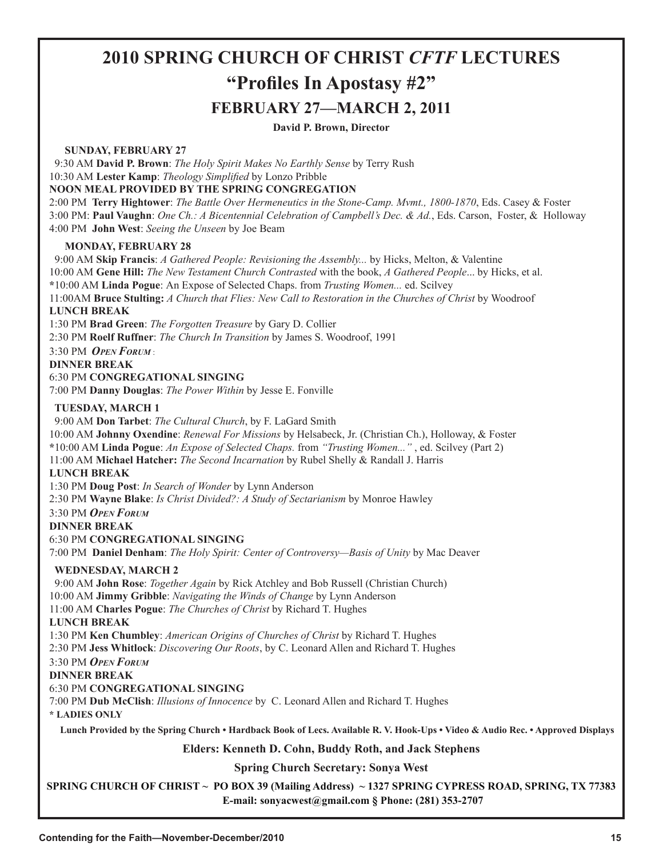## **2010 SPRING CHURCH OF CHRIST** *CFTF* **LECTURES "Profiles In Apostasy #2" FEBRUARY 27—MARCH 2, 2011**

#### **David P. Brown, Director**

#### **SUNDAY, FEBRUARY 27**

 9:30 AM **David P. Brown**: *The Holy Spirit Makes No Earthly Sense* by Terry Rush 10:30 AM **Lester Kamp**: *Theology Simplified* by Lonzo Pribble **NOON MEAL PROVIDED BY THE SPRING CONGREGATION**

2:00 PM **Terry Hightower**: *The Battle Over Hermeneutics in the Stone-Camp. Mvmt., 1800-1870*, Eds. Casey & Foster 3:00 PM: **Paul Vaughn**: *One Ch.: A Bicentennial Celebration of Campbell's Dec. & Ad.*, Eds. Carson, Foster, & Holloway 4:00 PM **John West**: *Seeing the Unseen* by Joe Beam

#### **MONDAY, FEBRUARY 28**

 9:00 AM **Skip Francis**: *A Gathered People: Revisioning the Assembly...* by Hicks, Melton, & Valentine 10:00 AM **Gene Hill:** *The New Testament Church Contrasted* with the book, *A Gathered People*... by Hicks, et al. **\***10:00 AM **Linda Pogue**: An Expose of Selected Chaps. from *Trusting Women...* ed. Scilvey 11:00AM **Bruce Stulting:** *A Church that Flies: New Call to Restoration in the Churches of Christ* by Woodroof **LUNCH BREAK** 1:30 PM **Brad Green**: *The Forgotten Treasure* by Gary D. Collier 2:30 PM **Roelf Ruffner**: *The Church In Transition* by James S. Woodroof, 1991 3:30 PM *OPEN FORUM* : **DINNER BREAK** 6:30 PM **CONGREGATIONAL SINGING** 7:00 PM **Danny Douglas**: *The Power Within* by Jesse E. Fonville  **TUESDAY, MARCH 1** 9:00 AM **Don Tarbet**: *The Cultural Church*, by F. LaGard Smith 10:00 AM **Johnny Oxendine**: *Renewal For Missions* by Helsabeck, Jr. (Christian Ch.), Holloway, & Foster **\***10:00 AM **Linda Pogue**: *An Expose of Selected Chaps.* from *"Trusting Women..."* , ed. Scilvey (Part 2) 11:00 AM **Michael Hatcher:** *The Second Incarnation* by Rubel Shelly & Randall J. Harris **LUNCH BREAK** 1:30 PM **Doug Post**: *In Search of Wonder* by Lynn Anderson 2:30 PM **Wayne Blake**: *Is Christ Divided?: A Study of Sectarianism* by Monroe Hawley 3:30 PM *OPEN FORUM* **DINNER BREAK** 6:30 PM **CONGREGATIONAL SINGING** 7:00 PM **Daniel Denham**: *The Holy Spirit: Center of Controversy—Basis of Unity* by Mac Deaver  **WEDNESDAY, MARCH 2** 9:00 AM **John Rose**: *Together Again* by Rick Atchley and Bob Russell (Christian Church) 10:00 AM **Jimmy Gribble**: *Navigating the Winds of Change* by Lynn Anderson 11:00 AM **Charles Pogue**: *The Churches of Christ* by Richard T. Hughes **LUNCH BREAK** 1:30 PM **Ken Chumbley**: *American Origins of Churches of Christ* by Richard T. Hughes 2:30 PM **Jess Whitlock**: *Discovering Our Roots*, by C. Leonard Allen and Richard T. Hughes 3:30 PM *OPEN FORUM* **DINNER BREAK** 6:30 PM **CONGREGATIONAL SINGING** 7:00 PM **Dub McClish**: *Illusions of Innocence* by C. Leonard Allen and Richard T. Hughes **\* LADIES ONLY Lunch Provided by the Spring Church • Hardback Book of Lecs. Available R. V. Hook-Ups • Video & Audio Rec. • Approved Displays Elders: Kenneth D. Cohn, Buddy Roth, and Jack Stephens Spring Church Secretary: Sonya West**

**SPRING CHURCH OF CHRIST ~ PO BOX 39 (Mailing Address) ~ 1327 SPRING CYPRESS ROAD, SPRING, TX 77383 E-mail: sonyacwest@gmail.com § Phone: (281) 353-2707**